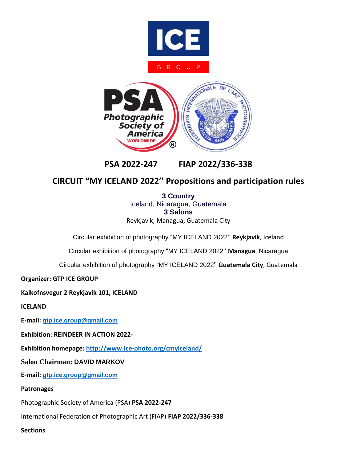



# **PSA 2022-247 FIAP 2022/336-338**

# **CIRCUIT "MY ICELAND 2022'' Propositions and participation rules**

**3 Country** Iceland, Nicaragua, Guatemala **3 Salons** Reykjavik; Managua; Guatemala City

Circular exhibition of photography "MY ICELAND 2022'' **Reykjavik**, Iceland

Circular exhibition of photography "MY ICELAND 2022'' **Managua**, Nicaragua

Circular exhibition of photography "MY ICELAND 2022'' **Guatemala City**, Guatemala

**Organizer: GTP ICE GROUP**

**Kalkofnsvegur 2 Reykjavik 101, ICELAND**

**ICELAND**

**E-mail: [gtp.ice.group@gmail.com](mailto:gtp.ice.group@gmail.com)**

**Exhibition: REINDEER IN ACTION 2022-**

**Exhibition homepage:<http://www.ice-photo.org/cmyiceland/>**

**Salon Chairman: DAVID MARKOV**

**E-mail: [gtp.ice.group@gmail.com](mailto:gtp.ice.group@gmail.com)**

#### **Patronages**

Photographic Society of America (PSA) **PSA 2022-247**

International Federation of Photographic Art (FIAP) **FIAP 2022/336-338**

**Sections**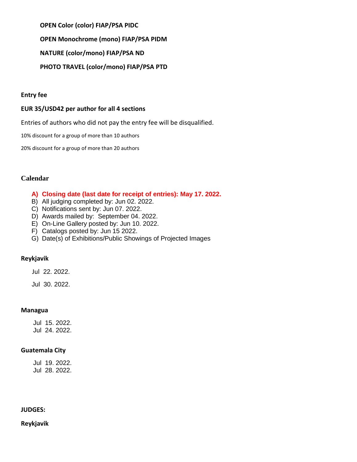**OPEN Color (color) FIAP/PSA PIDC**

 **OPEN Monochrome (mono) FIAP/PSA PIDM**

 **NATURE (color/mono) FIAP/PSA ND**

 **PHOTO TRAVEL (color/mono) FIAP/PSA PTD**

### **Entry fee**

### **EUR 35/USD42 per author for all 4 sections**

Entries of authors who did not pay the entry fee will be disqualified.

10% discount for a group of more than 10 authors

20% discount for a group of more than 20 authors

# **Calendar**

- **A) Closing date (last date for receipt of entries): May 17. 2022.**
- B) All judging completed by: Jun 02. 2022.
- C) Notifications sent by: Jun 07. 2022.
- D) Awards mailed by: September 04. 2022.
- E) On-Line Gallery posted by: Jun 10. 2022.
- F) Catalogs posted by: Jun 15 2022.
- G) Date(s) of Exhibitions/Public Showings of Projected Images

# **Reykjavik**

Jul 22. 2022.

Jul 30. 2022.

#### **Managua**

Jul 15. 2022. Jul 24. 2022.

# **Guatemala City**

Jul 19. 2022. Jul 28. 2022.

#### **JUDGES:**

**Reykjavik**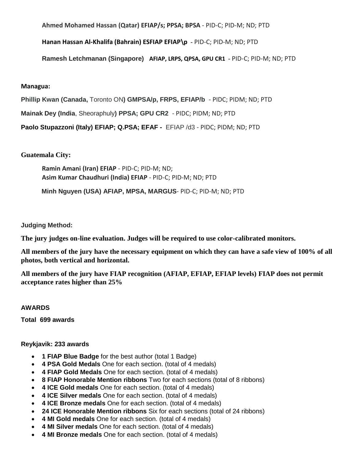**Ahmed Mohamed Hassan (Qatar) EFIAP/s; PPSA; BPSA** - PID-C; PID-M; ND; PTD

**Hanan Hassan Al-Khalifa (Bahrain) ESFIAP EFIAP\p** - PID-C; PID-M; ND; PTD

**Ramesh Letchmanan (Singapore) AFIAP, LRPS, QPSA, GPU CR1** - PID-C; PID-M; ND; PTD

# **Managua:**

**Phillip Kwan (Canada,** Toronto ON**) GMPSA/p, FRPS, EFIAP/b** - PIDC; PIDM; ND; PTD **Mainak Dey (India**, Sheoraphuly**) PPSA; GPU CR2** - PIDC; PIDM; ND; PTD **Paolo Stupazzoni (Italy) EFIAP; Q.PSA; EFAF -** EFIAP /d3 - PIDC; PIDM; ND; PTD

# **Guatemala City:**

**Ramin Amani (Iran) EFIAP** - PID-C; PID-M; ND; **Asim Kumar Chaudhuri (India) EFIAP** - PID-C; PID-M; ND; PTD  **Minh Nguyen (USA) AFIAP, MPSA, MARGUS**- PID-C; PID-M; ND; PTD

**Judging Method:**

**The jury judges on-line evaluation. Judges will be required to use color-calibrated monitors.**

**All members of the jury have the necessary equipment on which they can have a safe view of 100% of all photos, both vertical and horizontal.**

**All members of the jury have FIAP recognition (AFIAP, EFIAP, EFIAP levels) FIAP does not permit acceptance rates higher than 25%**

# **AWARDS**

**Total 699 awards** 

#### **Reykjavik: 233 awards**

- **1 FIAP Blue Badge** for the best author (total 1 Badge)
- **4 PSA Gold Medals** One for each section. (total of 4 medals)
- **4 FIAP Gold Medals** One for each section. (total of 4 medals)
- **8 FIAP Honorable Mention ribbons** Two for each sections (total of 8 ribbons)
- **4 ICE Gold medals** One for each section. (total of 4 medals)
- **4 ICE Silver medals** One for each section. (total of 4 medals)
- **4 ICE Bronze medals** One for each section. (total of 4 medals)
- **24 ICE Honorable Mention ribbons** Six for each sections (total of 24 ribbons)
- **4 MI Gold medals** One for each section. (total of 4 medals)
- **4 MI Silver medals** One for each section. (total of 4 medals)
- **4 MI Bronze medals** One for each section. (total of 4 medals)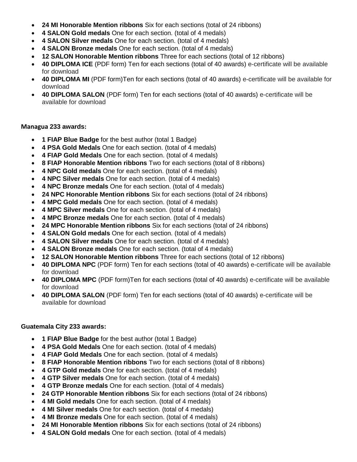- **24 MI Honorable Mention ribbons** Six for each sections (total of 24 ribbons)
- **4 SALON Gold medals** One for each section. (total of 4 medals)
- **4 SALON Silver medals** One for each section. (total of 4 medals)
- **4 SALON Bronze medals** One for each section. (total of 4 medals)
- **12 SALON Honorable Mention ribbons** Three for each sections (total of 12 ribbons)
- **40 DIPLOMA ICE** (PDF form) Ten for each sections (total of 40 awards) e-certificate will be available for download
- **40 DIPLOMA MI** (PDF form)Ten for each sections (total of 40 awards) e-certificate will be available for download
- **40 DIPLOMA SALON** (PDF form) Ten for each sections (total of 40 awards) e-certificate will be available for download

### **Managua 233 awards:**

- **1 FIAP Blue Badge** for the best author (total 1 Badge)
- **4 PSA Gold Medals** One for each section. (total of 4 medals)
- **4 FIAP Gold Medals** One for each section. (total of 4 medals)
- **8 FIAP Honorable Mention ribbons** Two for each sections (total of 8 ribbons)
- **4 NPC Gold medals** One for each section. (total of 4 medals)
- **4 NPC Silver medals** One for each section. (total of 4 medals)
- **4 NPC Bronze medals** One for each section. (total of 4 medals)
- **24 NPC Honorable Mention ribbons** Six for each sections (total of 24 ribbons)
- **4 MPC Gold medals** One for each section. (total of 4 medals)
- **4 MPC Silver medals** One for each section. (total of 4 medals)
- **4 MPC Bronze medals** One for each section. (total of 4 medals)
- **24 MPC Honorable Mention ribbons** Six for each sections (total of 24 ribbons)
- **4 SALON Gold medals** One for each section. (total of 4 medals)
- **4 SALON Silver medals** One for each section. (total of 4 medals)
- **4 SALON Bronze medals** One for each section. (total of 4 medals)
- **12 SALON Honorable Mention ribbons** Three for each sections (total of 12 ribbons)
- **40 DIPLOMA NPC** (PDF form) Ten for each sections (total of 40 awards) e-certificate will be available for download
- **40 DIPLOMA MPC** (PDF form)Ten for each sections (total of 40 awards) e-certificate will be available for download
- **40 DIPLOMA SALON** (PDF form) Ten for each sections (total of 40 awards) e-certificate will be available for download

# **Guatemala City 233 awards:**

- **1 FIAP Blue Badge** for the best author (total 1 Badge)
- **4 PSA Gold Medals** One for each section. (total of 4 medals)
- **4 FIAP Gold Medals** One for each section. (total of 4 medals)
- **8 FIAP Honorable Mention ribbons** Two for each sections (total of 8 ribbons)
- **4 GTP Gold medals** One for each section. (total of 4 medals)
- **4 GTP Silver medals** One for each section. (total of 4 medals)
- **4 GTP Bronze medals** One for each section. (total of 4 medals)
- **24 GTP Honorable Mention ribbons** Six for each sections (total of 24 ribbons)
- **4 MI Gold medals** One for each section. (total of 4 medals)
- **4 MI Silver medals** One for each section. (total of 4 medals)
- **4 MI Bronze medals** One for each section. (total of 4 medals)
- **24 MI Honorable Mention ribbons** Six for each sections (total of 24 ribbons)
- **4 SALON Gold medals** One for each section. (total of 4 medals)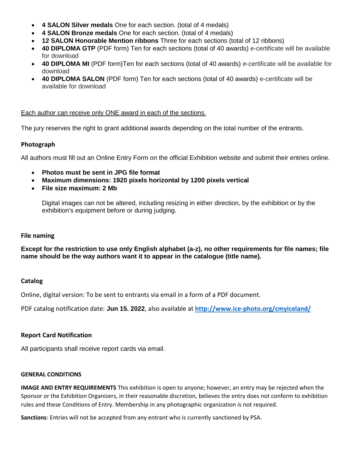- **4 SALON Silver medals** One for each section. (total of 4 medals)
- **4 SALON Bronze medals** One for each section. (total of 4 medals)
- **12 SALON Honorable Mention ribbons** Three for each sections (total of 12 ribbons)
- **40 DIPLOMA GTP** (PDF form) Ten for each sections (total of 40 awards) e-certificate will be available for download
- **40 DIPLOMA MI** (PDF form)Ten for each sections (total of 40 awards) e-certificate will be available for download
- **40 DIPLOMA SALON** (PDF form) Ten for each sections (total of 40 awards) e-certificate will be available for download

### Each author can receive only ONE award in each of the sections.

The jury reserves the right to grant additional awards depending on the total number of the entrants.

### **Photograph**

All authors must fill out an Online Entry Form on the official Exhibition website and submit their entries online.

- **Photos must be sent in JPG file format**
- **Maximum dimensions: 1920 pixels horizontal by 1200 pixels vertical**
- **File size maximum: 2 Mb**

Digital images can not be altered, including resizing in either direction, by the exhibition or by the exhibition's equipment before or during judging.

#### **File naming**

**Except for the restriction to use only English alphabet (a-z), no other requirements for file names; file name should be the way authors want it to appear in the catalogue (title name).** 

#### **Catalog**

Online, digital version: To be sent to entrants via email in a form of a PDF document.

PDF catalog notification date: **Jun 15. 2022**, also available at **<http://www.ice-photo.org/cmyiceland/>**

#### **Report Card Notification**

All participants shall receive report cards via email.

#### **GENERAL CONDITIONS**

**IMAGE AND ENTRY REQUIREMENTS** This exhibition is open to anyone; however, an entry may be rejected when the Sponsor or the Exhibition Organizers, in their reasonable discretion, believes the entry does not conform to exhibition rules and these Conditions of Entry. Membership in any photographic organization is not required.

**Sanctions**: Entries will not be accepted from any entrant who is currently sanctioned by PSA.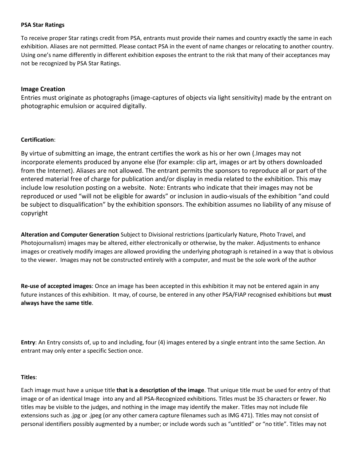#### **PSA Star Ratings**

To receive proper Star ratings credit from PSA, entrants must provide their names and country exactly the same in each exhibition. Aliases are not permitted. Please contact PSA in the event of name changes or relocating to another country. Using one's name differently in different exhibition exposes the entrant to the risk that many of their acceptances may not be recognized by PSA Star Ratings.

#### **Image Creation**

Entries must originate as photographs (image-captures of objects via light sensitivity) made by the entrant on photographic emulsion or acquired digitally.

### **Certification**:

By virtue of submitting an image, the entrant certifies the work as his or her own (.Images may not incorporate elements produced by anyone else (for example: clip art, images or art by others downloaded from the Internet). Aliases are not allowed. The entrant permits the sponsors to reproduce all or part of the entered material free of charge for publication and/or display in media related to the exhibition. This may include low resolution posting on a website. Note: Entrants who indicate that their images may not be reproduced or used "will not be eligible for awards" or inclusion in audio-visuals of the exhibition "and could be subject to disqualification" by the exhibition sponsors. The exhibition assumes no liability of any misuse of copyright

**Alteration and Computer Generation** Subject to Divisional restrictions (particularly Nature, Photo Travel, and Photojournalism) images may be altered, either electronically or otherwise, by the maker. Adjustments to enhance images or creatively modify images are allowed providing the underlying photograph is retained in a way that is obvious to the viewer. Images may not be constructed entirely with a computer, and must be the sole work of the author

**Re-use of accepted images**: Once an image has been accepted in this exhibition it may not be entered again in any future instances of this exhibition. It may, of course, be entered in any other PSA/FIAP recognised exhibitions but **must always have the same title**.

**Entry**: An Entry consists of, up to and including, four (4) images entered by a single entrant into the same Section. An entrant may only enter a specific Section once.

#### **Titles**:

Each image must have a unique title **that is a description of the image**. That unique title must be used for entry of that image or of an identical Image into any and all PSA-Recognized exhibitions. Titles must be 35 characters or fewer. No titles may be visible to the judges, and nothing in the image may identify the maker. Titles may not include file extensions such as .jpg or .jpeg (or any other camera capture filenames such as IMG 471). Titles may not consist of personal identifiers possibly augmented by a number; or include words such as "untitled" or "no title". Titles may not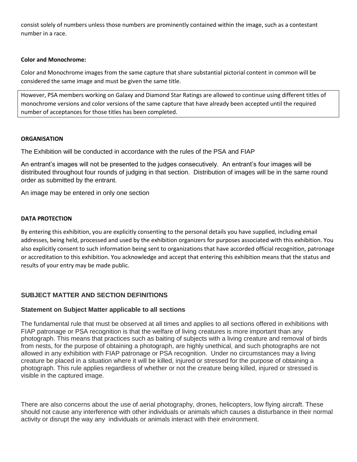consist solely of numbers unless those numbers are prominently contained within the image, such as a contestant number in a race.

### **Color and Monochrome:**

Color and Monochrome images from the same capture that share substantial pictorial content in common will be considered the same image and must be given the same title.

However, PSA members working on Galaxy and Diamond Star Ratings are allowed to continue using different titles of monochrome versions and color versions of the same capture that have already been accepted until the required number of acceptances for those titles has been completed.

### **ORGANISATION**

The Exhibition will be conducted in accordance with the rules of the PSA and FIAP

An entrant's images will not be presented to the judges consecutively. An entrant's four images will be distributed throughout four rounds of judging in that section. Distribution of images will be in the same round order as submitted by the entrant.

An image may be entered in only one section

### **DATA PROTECTION**

By entering this exhibition, you are explicitly consenting to the personal details you have supplied, including email addresses, being held, processed and used by the exhibition organizers for purposes associated with this exhibition. You also explicitly consent to such information being sent to organizations that have accorded official recognition, patronage or accreditation to this exhibition. You acknowledge and accept that entering this exhibition means that the status and results of your entry may be made public.

# **SUBJECT MATTER AND SECTION DEFINITIONS**

# **Statement on Subject Matter applicable to all sections**

The fundamental rule that must be observed at all times and applies to all sections offered in exhibitions with FIAP patronage or PSA recognition is that the welfare of living creatures is more important than any photograph. This means that practices such as baiting of subjects with a living creature and removal of birds from nests, for the purpose of obtaining a photograph, are highly unethical, and such photographs are not allowed in any exhibition with FIAP patronage or PSA recognition. Under no circumstances may a living creature be placed in a situation where it will be killed, injured or stressed for the purpose of obtaining a photograph. This rule applies regardless of whether or not the creature being killed, injured or stressed is visible in the captured image.

There are also concerns about the use of aerial photography, drones, helicopters, low flying aircraft. These should not cause any interference with other individuals or animals which causes a disturbance in their normal activity or disrupt the way any individuals or animals interact with their environment.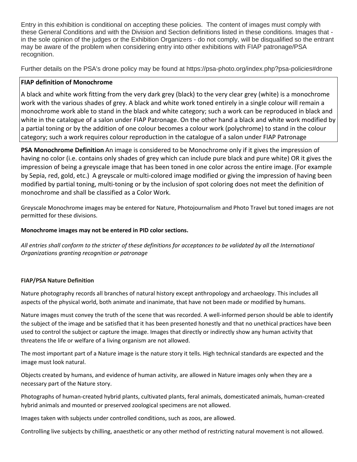Entry in this exhibition is conditional on accepting these policies. The content of images must comply with these General Conditions and with the Division and Section definitions listed in these conditions. Images that in the sole opinion of the judges or the Exhibition Organizers - do not comply, will be disqualified so the entrant may be aware of the problem when considering entry into other exhibitions with FIAP patronage/PSA recognition.

Further details on the PSA's drone policy may be found at https://psa-photo.org/index.php?psa-policies#drone

# **FIAP definition of Monochrome**

A black and white work fitting from the very dark grey (black) to the very clear grey (white) is a monochrome work with the various shades of grey. A black and white work toned entirely in a single colour will remain a monochrome work able to stand in the black and white category; such a work can be reproduced in black and white in the catalogue of a salon under FIAP Patronage. On the other hand a black and white work modified by a partial toning or by the addition of one colour becomes a colour work (polychrome) to stand in the colour category; such a work requires colour reproduction in the catalogue of a salon under FIAP Patronage

**PSA Monochrome Definition** An image is considered to be Monochrome only if it gives the impression of having no color (i.e. contains only shades of grey which can include pure black and pure white) OR it gives the impression of being a greyscale image that has been toned in one color across the entire image. (For example by Sepia, red, gold, etc.) A greyscale or multi-colored image modified or giving the impression of having been modified by partial toning, multi-toning or by the inclusion of spot coloring does not meet the definition of monochrome and shall be classified as a Color Work.

Greyscale Monochrome images may be entered for Nature, Photojournalism and Photo Travel but toned images are not permitted for these divisions.

# **Monochrome images may not be entered in PID color sections.**

*All entries shall conform to the stricter of these definitions for acceptances to be validated by all the International Organizations granting recognition or patronage*

# **FIAP/PSA Nature Definition**

Nature photography records all branches of natural history except anthropology and archaeology. This includes all aspects of the physical world, both animate and inanimate, that have not been made or modified by humans.

Nature images must convey the truth of the scene that was recorded. A well-informed person should be able to identify the subject of the image and be satisfied that it has been presented honestly and that no unethical practices have been used to control the subject or capture the image. Images that directly or indirectly show any human activity that threatens the life or welfare of a living organism are not allowed.

The most important part of a Nature image is the nature story it tells. High technical standards are expected and the image must look natural.

Objects created by humans, and evidence of human activity, are allowed in Nature images only when they are a necessary part of the Nature story.

Photographs of human-created hybrid plants, cultivated plants, feral animals, domesticated animals, human-created hybrid animals and mounted or preserved zoological specimens are not allowed.

Images taken with subjects under controlled conditions, such as zoos, are allowed.

Controlling live subjects by chilling, anaesthetic or any other method of restricting natural movement is not allowed.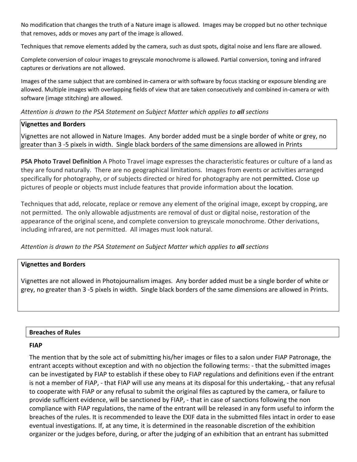No modification that changes the truth of a Nature image is allowed. Images may be cropped but no other technique that removes, adds or moves any part of the image is allowed.

Techniques that remove elements added by the camera, such as dust spots, digital noise and lens flare are allowed.

Complete conversion of colour images to greyscale monochrome is allowed. Partial conversion, toning and infrared captures or derivations are not allowed.

Images of the same subject that are combined in-camera or with software by focus stacking or exposure blending are allowed. Multiple images with overlapping fields of view that are taken consecutively and combined in-camera or with software (image stitching) are allowed.

# *Attention is drawn to the PSA Statement on Subject Matter which applies to all sections*

# **Vignettes and Borders**

Vignettes are not allowed in Nature Images. Any border added must be a single border of white or grey, no greater than 3 -5 pixels in width. Single black borders of the same dimensions are allowed in Prints

**PSA Photo Travel Definition** A Photo Travel image expresses the characteristic features or culture of a land as they are found naturally. There are no geographical limitations. Images from events or activities arranged specifically for photography, or of subjects directed or hired for photography are not permitted**.** Close up pictures of people or objects must include features that provide information about the location.

Techniques that add, relocate, replace or remove any element of the original image, except by cropping, are not permitted. The only allowable adjustments are removal of dust or digital noise, restoration of the appearance of the original scene, and complete conversion to greyscale monochrome. Other derivations, including infrared, are not permitted. All images must look natural.

*Attention is drawn to the PSA Statement on Subject Matter which applies to all sections*

# **Vignettes and Borders**

Vignettes are not allowed in Photojournalism images. Any border added must be a single border of white or grey, no greater than 3 -5 pixels in width. Single black borders of the same dimensions are allowed in Prints.

# **Breaches of Rules**

# **FIAP**

The mention that by the sole act of submitting his/her images or files to a salon under FIAP Patronage, the entrant accepts without exception and with no objection the following terms: - that the submitted images can be investigated by FIAP to establish if these obey to FIAP regulations and definitions even if the entrant is not a member of FIAP, - that FIAP will use any means at its disposal for this undertaking, - that any refusal to cooperate with FIAP or any refusal to submit the original files as captured by the camera, or failure to provide sufficient evidence, will be sanctioned by FIAP, - that in case of sanctions following the non compliance with FIAP regulations, the name of the entrant will be released in any form useful to inform the breaches of the rules. It is recommended to leave the EXIF data in the submitted files intact in order to ease eventual investigations. If, at any time, it is determined in the reasonable discretion of the exhibition organizer or the judges before, during, or after the judging of an exhibition that an entrant has submitted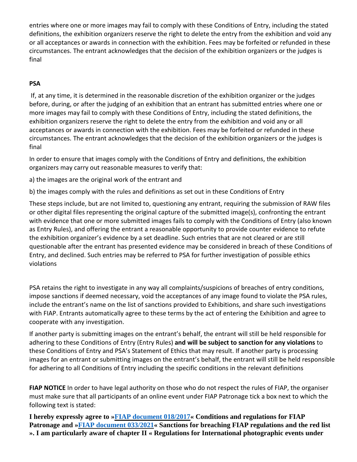entries where one or more images may fail to comply with these Conditions of Entry, including the stated definitions, the exhibition organizers reserve the right to delete the entry from the exhibition and void any or all acceptances or awards in connection with the exhibition. Fees may be forfeited or refunded in these circumstances. The entrant acknowledges that the decision of the exhibition organizers or the judges is final

# **PSA**

If, at any time, it is determined in the reasonable discretion of the exhibition organizer or the judges before, during, or after the judging of an exhibition that an entrant has submitted entries where one or more images may fail to comply with these Conditions of Entry, including the stated definitions, the exhibition organizers reserve the right to delete the entry from the exhibition and void any or all acceptances or awards in connection with the exhibition. Fees may be forfeited or refunded in these circumstances. The entrant acknowledges that the decision of the exhibition organizers or the judges is final

In order to ensure that images comply with the Conditions of Entry and definitions, the exhibition organizers may carry out reasonable measures to verify that:

a) the images are the original work of the entrant and

b) the images comply with the rules and definitions as set out in these Conditions of Entry

These steps include, but are not limited to, questioning any entrant, requiring the submission of RAW files or other digital files representing the original capture of the submitted image(s), confronting the entrant with evidence that one or more submitted images fails to comply with the Conditions of Entry (also known as Entry Rules), and offering the entrant a reasonable opportunity to provide counter evidence to refute the exhibition organizer's evidence by a set deadline. Such entries that are not cleared or are still questionable after the entrant has presented evidence may be considered in breach of these Conditions of Entry, and declined. Such entries may be referred to PSA for further investigation of possible ethics violations

PSA retains the right to investigate in any way all complaints/suspicions of breaches of entry conditions, impose sanctions if deemed necessary, void the acceptances of any image found to violate the PSA rules, include the entrant's name on the list of sanctions provided to Exhibitions, and share such investigations with FIAP. Entrants automatically agree to these terms by the act of entering the Exhibition and agree to cooperate with any investigation.

If another party is submitting images on the entrant's behalf, the entrant will still be held responsible for adhering to these Conditions of Entry (Entry Rules) **and will be subject to sanction for any violations** to these Conditions of Entry and PSA's Statement of Ethics that may result. If another party is processing images for an entrant or submitting images on the entrant's behalf, the entrant will still be held responsible for adhering to all Conditions of Entry including the specific conditions in the relevant definitions

**FIAP NOTICE** In order to have legal authority on those who do not respect the rules of FIAP, the organiser must make sure that all participants of an online event under FIAP Patronage tick a box next to which the following text is stated:

**I hereby expressly agree to »FIAP [document](https://www.myfiap.net/documents/FIAP%20DOC%20018%202017%20E.pdf) 018/2017« Conditions and regulations for FIAP Patronage and »FIAP [document](http://aap-photo.com/campaing/DOC_033_2021_RedList_EN.pdf) 033/2021« Sanctions for breaching FIAP regulations and the red list ». I am particularly aware of chapter II « Regulations for International photographic events under**